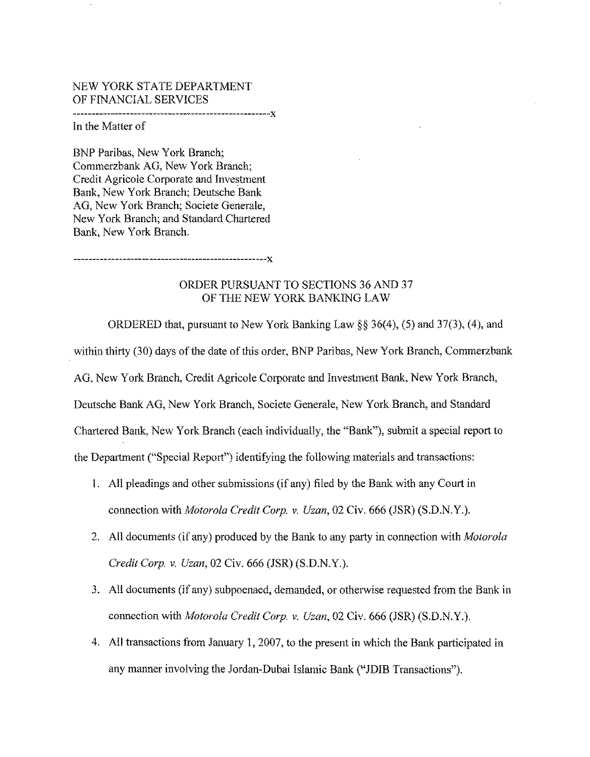## NEW YORK STATE DEPARTMENT OF FINANCIAL SERVICES

----------------------------------------------------){

In the Matter of

BNP Paribas, New York Branch; Commerzbank AG, New York Branch; Credit Agricole Corporate and Investment Bank, New York Branch; Deutsche Bank AG, New York Branch; Societe Generale, New York Branch; and Standard Chartered Bank, New York Branch.

---------------------------------------------------){

## ORDER PURSUANT TO SECTIONS 36 AND 37 OF THE NEW YORK BANKING LAW

ORDERED that, pursuant to New York Banking Law§§ 36(4), (5) and 37(3), (4), and within thirty (30) days of the date of this order, BNP Paribas, New York Branch, Commerzbank AG, New York Branch, Credit Agricole Corporate and Investment Bank, New York Branch, Deutsche Bank AG, New York Branch, Societe Generale, New York Branch, and Standard Chartered Bank, New York Branch (each individually, the "Bank"), submit a special report to the Department ("Special Report") identifying the following materials and transactions:

- 1. All pleadings and other submissions (if any) filed by the Bank with any Court in connection with *Motorola Credit Corp. v. Uzan*, 02 Civ. 666 (JSR) (S.D.N.Y.).
- 2. All documents (if any) produced by the Bank to any party in connection with *Motorola Credit Corp. v. Uzan,* 02 Civ. 666 (JSR) (S.D.N.Y.).
- 3. All documents (if any) subpoenaed, demanded, or otherwise requested from the Bank in connection with *Motorola Credit Corp. v. Uzan,* 02 Civ. 666 (JSR) (S.D.N.Y.).
- 4. All transactions from January 1, 2007, to the present in which the Bank participated in any manner involving the Jordan-Dubai Islamic Bank ("JDIB Transactions").